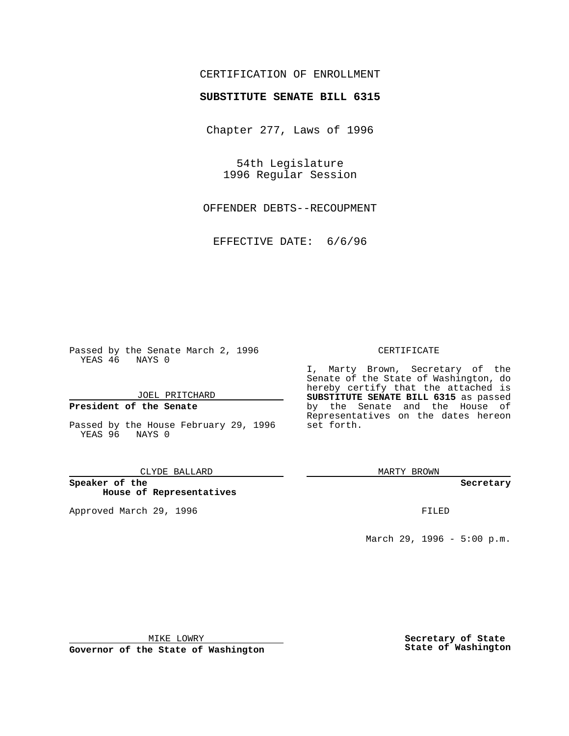## CERTIFICATION OF ENROLLMENT

# **SUBSTITUTE SENATE BILL 6315**

Chapter 277, Laws of 1996

54th Legislature 1996 Regular Session

OFFENDER DEBTS--RECOUPMENT

EFFECTIVE DATE: 6/6/96

Passed by the Senate March 2, 1996 YEAS 46 NAYS 0

JOEL PRITCHARD

### **President of the Senate**

Passed by the House February 29, 1996 YEAS 96 NAYS 0

#### CLYDE BALLARD

**Speaker of the House of Representatives**

Approved March 29, 1996 **FILED** 

### CERTIFICATE

I, Marty Brown, Secretary of the Senate of the State of Washington, do hereby certify that the attached is **SUBSTITUTE SENATE BILL 6315** as passed by the Senate and the House of Representatives on the dates hereon set forth.

MARTY BROWN

#### **Secretary**

March 29, 1996 - 5:00 p.m.

MIKE LOWRY

**Governor of the State of Washington**

**Secretary of State State of Washington**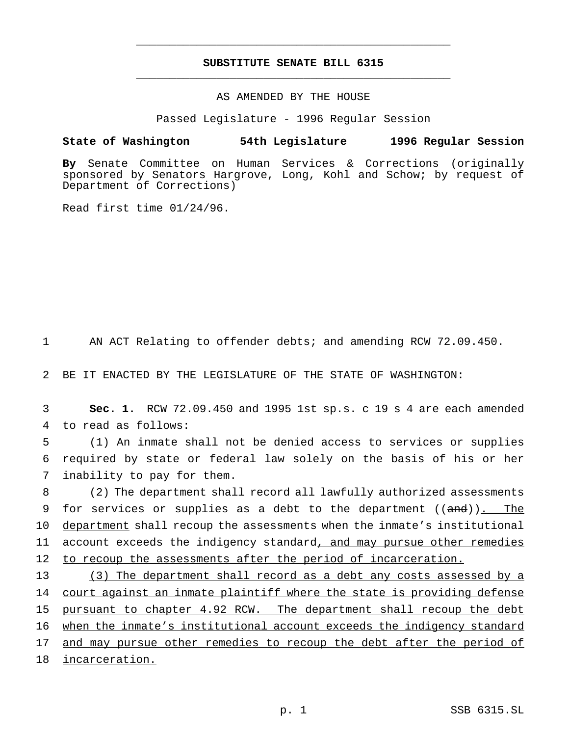## **SUBSTITUTE SENATE BILL 6315** \_\_\_\_\_\_\_\_\_\_\_\_\_\_\_\_\_\_\_\_\_\_\_\_\_\_\_\_\_\_\_\_\_\_\_\_\_\_\_\_\_\_\_\_\_\_\_

\_\_\_\_\_\_\_\_\_\_\_\_\_\_\_\_\_\_\_\_\_\_\_\_\_\_\_\_\_\_\_\_\_\_\_\_\_\_\_\_\_\_\_\_\_\_\_

### AS AMENDED BY THE HOUSE

Passed Legislature - 1996 Regular Session

### **State of Washington 54th Legislature 1996 Regular Session**

**By** Senate Committee on Human Services & Corrections (originally sponsored by Senators Hargrove, Long, Kohl and Schow; by request of Department of Corrections)

Read first time 01/24/96.

1 AN ACT Relating to offender debts; and amending RCW 72.09.450.

2 BE IT ENACTED BY THE LEGISLATURE OF THE STATE OF WASHINGTON:

3 **Sec. 1.** RCW 72.09.450 and 1995 1st sp.s. c 19 s 4 are each amended 4 to read as follows:

5 (1) An inmate shall not be denied access to services or supplies 6 required by state or federal law solely on the basis of his or her 7 inability to pay for them.

8 (2) The department shall record all lawfully authorized assessments 9 for services or supplies as a debt to the department ((and)). The 10 department shall recoup the assessments when the inmate's institutional 11 account exceeds the indigency standard, and may pursue other remedies 12 to recoup the assessments after the period of incarceration.

 (3) The department shall record as a debt any costs assessed by a 14 court against an inmate plaintiff where the state is providing defense pursuant to chapter 4.92 RCW. The department shall recoup the debt when the inmate's institutional account exceeds the indigency standard 17 and may pursue other remedies to recoup the debt after the period of incarceration.